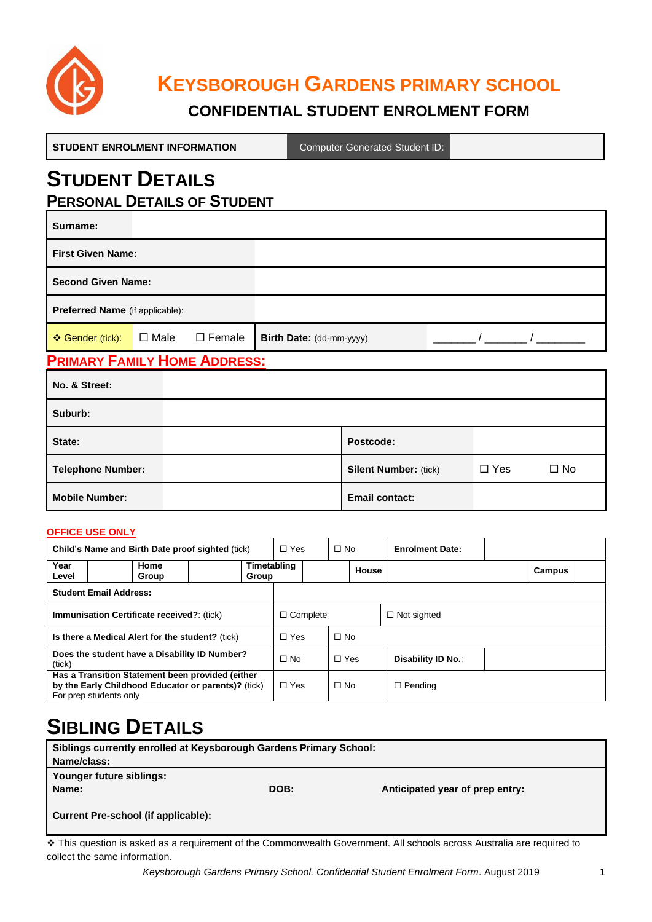

# **KEYSBOROUGH GARDENS PRIMARY SCHOOL**

## **CONFIDENTIAL STUDENT ENROLMENT FORM**

| <b>STUDENT ENROLMENT INFORMATION</b>                         |             |               |                          | <b>Computer Generated Student ID:</b> |  |  |  |  |
|--------------------------------------------------------------|-------------|---------------|--------------------------|---------------------------------------|--|--|--|--|
| <b>STUDENT DETAILS</b><br><b>PERSONAL DETAILS OF STUDENT</b> |             |               |                          |                                       |  |  |  |  |
| Surname:                                                     |             |               |                          |                                       |  |  |  |  |
| <b>First Given Name:</b>                                     |             |               |                          |                                       |  |  |  |  |
| <b>Second Given Name:</b>                                    |             |               |                          |                                       |  |  |  |  |
| Preferred Name (if applicable):                              |             |               |                          |                                       |  |  |  |  |
| ❖ Gender (tick):                                             | $\Box$ Male | $\Box$ Female | Birth Date: (dd-mm-yyyy) |                                       |  |  |  |  |
| <b>PRIMARY FAMILY HOME ADDRESS:</b>                          |             |               |                          |                                       |  |  |  |  |
| No. & Street:                                                |             |               |                          |                                       |  |  |  |  |
| Suburb:                                                      |             |               |                          |                                       |  |  |  |  |
| State:                                                       |             |               |                          | Postcode:                             |  |  |  |  |

| State:                | <b>Postcode:</b>             |            |      |
|-----------------------|------------------------------|------------|------|
| Telephone Number:     | <b>Silent Number: (tick)</b> | $\Box$ Yes | ∃ No |
| <b>Mobile Number:</b> | <b>Email contact:</b>        |            |      |

#### **OFFICE USE ONLY**

| Child's Name and Birth Date proof sighted (tick)                                                                                  |               | $\Box$ Yes      | $\Box$ No            |            | <b>Enrolment Date:</b> |                    |  |        |  |
|-----------------------------------------------------------------------------------------------------------------------------------|---------------|-----------------|----------------------|------------|------------------------|--------------------|--|--------|--|
| Year<br>Level                                                                                                                     | Home<br>Group |                 | Timetabling<br>Group |            |                        | House              |  | Campus |  |
| <b>Student Email Address:</b>                                                                                                     |               |                 |                      |            |                        |                    |  |        |  |
| <b>Immunisation Certificate received?: (tick)</b>                                                                                 |               | $\Box$ Complete |                      |            | $\Box$ Not sighted     |                    |  |        |  |
| Is there a Medical Alert for the student? (tick)                                                                                  |               |                 | $\Box$ Yes           | $\Box$ No  |                        |                    |  |        |  |
| Does the student have a Disability ID Number?<br>(tick)                                                                           |               |                 | $\Box$ No            | $\Box$ Yes |                        | Disability ID No.: |  |        |  |
| Has a Transition Statement been provided (either<br>by the Early Childhood Educator or parents)? (tick)<br>For prep students only |               | $\Box$ Yes      | $\Box$ No            |            | $\Box$ Pending         |                    |  |        |  |

# **SIBLING DETAILS**

| Siblings currently enrolled at Keysborough Gardens Primary School: |      |                                 |  |  |  |  |
|--------------------------------------------------------------------|------|---------------------------------|--|--|--|--|
| Name/class:                                                        |      |                                 |  |  |  |  |
| Younger future siblings:                                           |      |                                 |  |  |  |  |
| Name:                                                              | DOB: | Anticipated year of prep entry: |  |  |  |  |
|                                                                    |      |                                 |  |  |  |  |
| Current Pre-school (if applicable):                                |      |                                 |  |  |  |  |
|                                                                    |      |                                 |  |  |  |  |

❖ This question is asked as a requirement of the Commonwealth Government. All schools across Australia are required to collect the same information.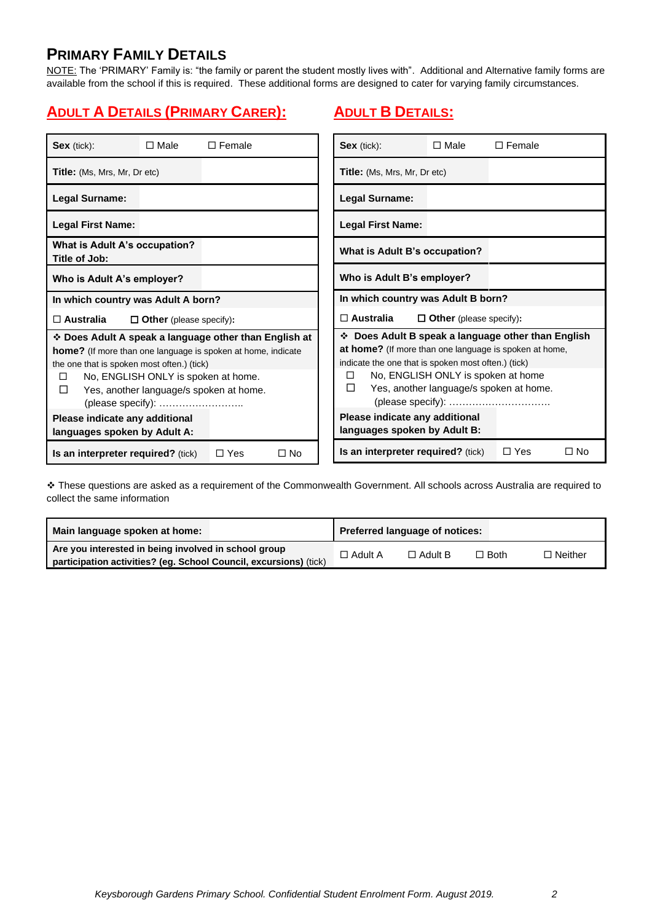## **PRIMARY FAMILY DETAILS**

NOTE: The 'PRIMARY' Family is: "the family or parent the student mostly lives with". Additional and Alternative family forms are available from the school if this is required. These additional forms are designed to cater for varying family circumstances.

# **ADULT A DETAILS (PRIMARY CARER):**

## **ADULT B DETAILS:**

| $Sex$ (tick):                                                                                                                                                                                      | $\Box$ Male                    | $\Box$ Female                                                                                                                | Sex (tick):                                                                                                                                                    | $\square$ Male                                                                | $\square$ Female                                   |  |  |
|----------------------------------------------------------------------------------------------------------------------------------------------------------------------------------------------------|--------------------------------|------------------------------------------------------------------------------------------------------------------------------|----------------------------------------------------------------------------------------------------------------------------------------------------------------|-------------------------------------------------------------------------------|----------------------------------------------------|--|--|
| <b>Title:</b> (Ms, Mrs, Mr, Dr etc)                                                                                                                                                                |                                |                                                                                                                              | <b>Title:</b> (Ms, Mrs, Mr, Dr etc)                                                                                                                            |                                                                               |                                                    |  |  |
| <b>Legal Surname:</b>                                                                                                                                                                              |                                |                                                                                                                              | Legal Surname:                                                                                                                                                 |                                                                               |                                                    |  |  |
| <b>Legal First Name:</b>                                                                                                                                                                           |                                |                                                                                                                              | <b>Legal First Name:</b>                                                                                                                                       |                                                                               |                                                    |  |  |
| What is Adult A's occupation?<br>Title of Job:                                                                                                                                                     |                                |                                                                                                                              | What is Adult B's occupation?                                                                                                                                  |                                                                               |                                                    |  |  |
| Who is Adult B's employer?<br>Who is Adult A's employer?                                                                                                                                           |                                |                                                                                                                              |                                                                                                                                                                |                                                                               |                                                    |  |  |
| In which country was Adult A born?                                                                                                                                                                 |                                |                                                                                                                              | In which country was Adult B born?                                                                                                                             |                                                                               |                                                    |  |  |
| $\square$ Australia                                                                                                                                                                                | $\Box$ Other (please specify): |                                                                                                                              | $\square$ Australia<br>$\Box$ Other (please specify):                                                                                                          |                                                                               |                                                    |  |  |
| the one that is spoken most often.) (tick)<br>No, ENGLISH ONLY is spoken at home.<br>$\Box$<br>Yes, another language/s spoken at home.<br>□<br>(please specify):<br>Please indicate any additional |                                | ❖ Does Adult A speak a language other than English at<br><b>home?</b> (If more than one language is spoken at home, indicate | at home? (If more than one language is spoken at home,<br>indicate the one that is spoken most often.) (tick)<br>$\Box$<br>П<br>Please indicate any additional | No, ENGLISH ONLY is spoken at home<br>Yes, another language/s spoken at home. | ❖ Does Adult B speak a language other than English |  |  |
| languages spoken by Adult A:                                                                                                                                                                       |                                |                                                                                                                              | languages spoken by Adult B:                                                                                                                                   |                                                                               |                                                    |  |  |
| Is an interpreter required? (tick)                                                                                                                                                                 |                                | $\Box$ Yes<br>$\square$ No                                                                                                   | Is an interpreter required? (tick)                                                                                                                             |                                                                               | $\Box$ Yes<br>$\square$ No                         |  |  |

❖ These questions are asked as a requirement of the Commonwealth Government. All schools across Australia are required to collect the same information

| Main language spoken at home:                                     |                | Preferred language of notices: |        |                |
|-------------------------------------------------------------------|----------------|--------------------------------|--------|----------------|
| Are you interested in being involved in school group              | $\Box$ Adult A | $\Box$ Adult B                 | □ Both | $\Box$ Neither |
| participation activities? (eg. School Council, excursions) (tick) |                |                                |        |                |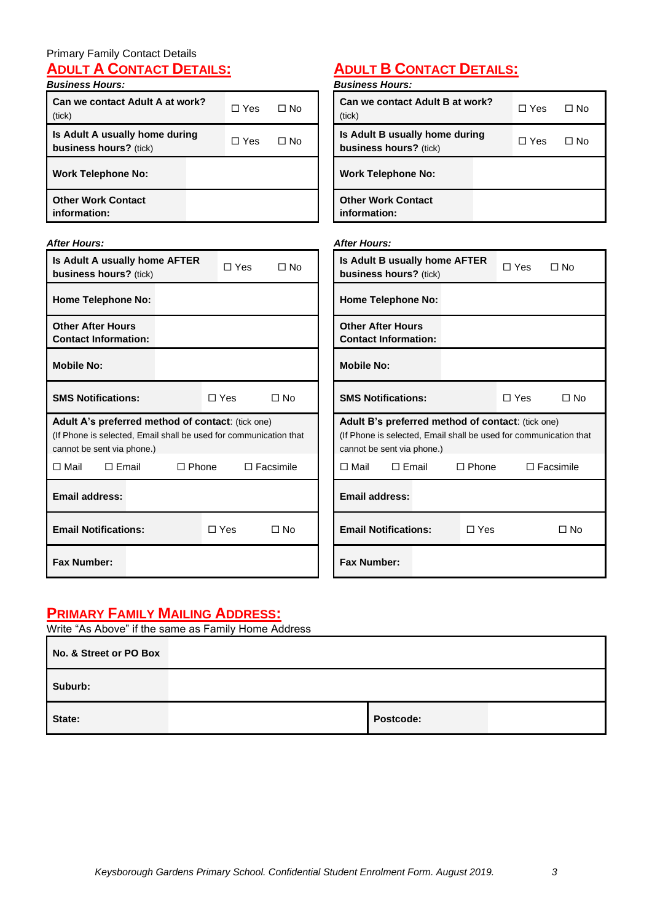#### Primary Family Contact Details **ADULT A CONTACT DETAILS:**

#### *Business Hours:*

| Can we contact Adult A at work?<br>(tick)                | $\Box$ Yes | ⊟ No |
|----------------------------------------------------------|------------|------|
| Is Adult A usually home during<br>business hours? (tick) | ∩ Yes      | ⊟ No |
| <b>Work Telephone No:</b>                                |            |      |
| <b>Other Work Contact</b><br>information:                |            |      |

# **ADULT B CONTACT DETAILS:**

| <b>Business Hours:</b>                                   |              |      |
|----------------------------------------------------------|--------------|------|
| Can we contact Adult B at work?<br>(tick)                | $\Box$ Yes   | ∩ No |
| Is Adult B usually home during<br>business hours? (tick) | $\sqcap$ Yes | ∩ No |
| <b>Work Telephone No:</b>                                |              |      |
| <b>Other Work Contact</b><br>information:                |              |      |

| <b>After Hours:</b>                                                                                                                                  |            |                  | <b>After Hours:</b>                                                                                                                                  |              |            |                  |
|------------------------------------------------------------------------------------------------------------------------------------------------------|------------|------------------|------------------------------------------------------------------------------------------------------------------------------------------------------|--------------|------------|------------------|
| Is Adult A usually home AFTER<br>business hours? (tick)                                                                                              | $\Box$ Yes | $\Box$ No        | Is Adult B usually home AFTER<br>business hours? (tick)                                                                                              |              | $\Box$ Yes | $\Box$ No        |
| <b>Home Telephone No:</b>                                                                                                                            |            |                  | <b>Home Telephone No:</b>                                                                                                                            |              |            |                  |
| <b>Other After Hours</b><br><b>Contact Information:</b>                                                                                              |            |                  | <b>Other After Hours</b><br><b>Contact Information:</b>                                                                                              |              |            |                  |
| <b>Mobile No:</b>                                                                                                                                    |            |                  | <b>Mobile No:</b>                                                                                                                                    |              |            |                  |
| <b>SMS Notifications:</b>                                                                                                                            | $\Box$ Yes | $\Box$ No        | <b>SMS Notifications:</b>                                                                                                                            |              | $\Box$ Yes | $\Box$ No        |
| Adult A's preferred method of contact: (tick one)<br>(If Phone is selected, Email shall be used for communication that<br>cannot be sent via phone.) |            |                  | Adult B's preferred method of contact: (tick one)<br>(If Phone is selected, Email shall be used for communication that<br>cannot be sent via phone.) |              |            |                  |
| $\Box$ Email<br>$\square$ Mail<br>$\Box$ Phone                                                                                                       |            | $\Box$ Facsimile | $\Box$ Email<br>$\Box$ Mail                                                                                                                          | $\Box$ Phone |            | $\Box$ Facsimile |
| <b>Email address:</b>                                                                                                                                |            |                  | <b>Email address:</b>                                                                                                                                |              |            |                  |
| <b>Email Notifications:</b>                                                                                                                          | $\Box$ Yes | $\Box$ No        | <b>Email Notifications:</b>                                                                                                                          | $\Box$ Yes   |            | $\Box$ No        |
| <b>Fax Number:</b>                                                                                                                                   |            |                  | <b>Fax Number:</b>                                                                                                                                   |              |            |                  |

# **PRIMARY FAMILY MAILING ADDRESS:**

| Write "As Above" if the same as Family Home Address |           |  |  |  |  |  |  |
|-----------------------------------------------------|-----------|--|--|--|--|--|--|
| No. & Street or PO Box                              |           |  |  |  |  |  |  |
| Suburb:                                             |           |  |  |  |  |  |  |
| State:                                              | Postcode: |  |  |  |  |  |  |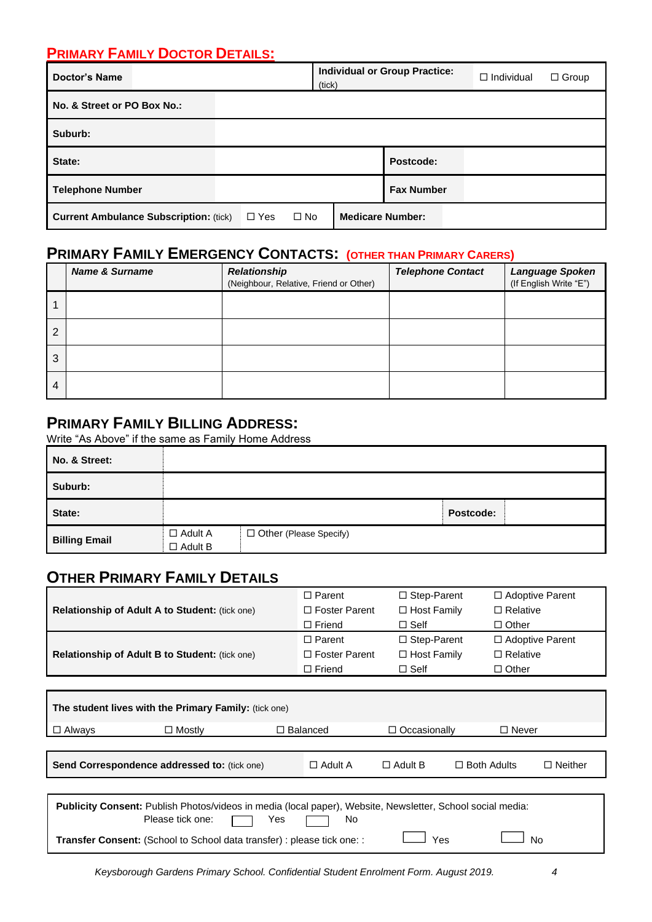## **PRIMARY FAMILY DOCTOR DETAILS:**

| <b>Doctor's Name</b>                          | (tick)                     | <b>Individual or Group Practice:</b> | $\Box$ Individual       | $\Box$ Group |  |
|-----------------------------------------------|----------------------------|--------------------------------------|-------------------------|--------------|--|
| No. & Street or PO Box No.:                   |                            |                                      |                         |              |  |
| Suburb:                                       |                            |                                      |                         |              |  |
| State:                                        |                            |                                      | Postcode:               |              |  |
| <b>Telephone Number</b>                       |                            |                                      | <b>Fax Number</b>       |              |  |
| <b>Current Ambulance Subscription: (tick)</b> | $\square$ No<br>$\Box$ Yes |                                      | <b>Medicare Number:</b> |              |  |

# **PRIMARY FAMILY EMERGENCY CONTACTS: (OTHER THAN PRIMARY CARERS)**

|                | <b>Name &amp; Surname</b> | <b>Relationship</b><br>(Neighbour, Relative, Friend or Other) | <b>Telephone Contact</b> | Language Spoken<br>(If English Write "E") |
|----------------|---------------------------|---------------------------------------------------------------|--------------------------|-------------------------------------------|
|                |                           |                                                               |                          |                                           |
| $\overline{2}$ |                           |                                                               |                          |                                           |
| 3              |                           |                                                               |                          |                                           |
| 4              |                           |                                                               |                          |                                           |

#### **PRIMARY FAMILY BILLING ADDRESS:**

Write "As Above" if the same as Family Home Address

| No. & Street:        |                                  |                          |           |  |
|----------------------|----------------------------------|--------------------------|-----------|--|
| Suburb:              |                                  |                          |           |  |
| State:               |                                  |                          | Postcode: |  |
| <b>Billing Email</b> | $\Box$ Adult A<br>$\Box$ Adult B | □ Other (Please Specify) |           |  |

# **OTHER PRIMARY FAMILY DETAILS**

|                                                       | $\Box$ Parent        | $\Box$ Step-Parent | $\Box$ Adoptive Parent |
|-------------------------------------------------------|----------------------|--------------------|------------------------|
| Relationship of Adult A to Student: (tick one)        | $\Box$ Foster Parent | $\Box$ Host Family | $\Box$ Relative        |
|                                                       | $\Box$ Friend        | $\Box$ Self        | $\Box$ Other           |
|                                                       | $\Box$ Parent        | $\Box$ Step-Parent | $\Box$ Adoptive Parent |
| <b>Relationship of Adult B to Student: (tick one)</b> | $\Box$ Foster Parent | $\Box$ Host Family | $\Box$ Relative        |
|                                                       | $\Box$ Friend        | $\Box$ Self        | $\Box$ Other           |

| The student lives with the Primary Family: (tick one)                                                                                                                                                                                       |               |                 |                |                     |                    |                |  |  |  |
|---------------------------------------------------------------------------------------------------------------------------------------------------------------------------------------------------------------------------------------------|---------------|-----------------|----------------|---------------------|--------------------|----------------|--|--|--|
| $\Box$ Always                                                                                                                                                                                                                               | $\Box$ Mostly | $\Box$ Balanced |                | $\Box$ Occasionally | □ Never            |                |  |  |  |
|                                                                                                                                                                                                                                             |               |                 |                |                     |                    |                |  |  |  |
| <b>Send Correspondence addressed to: (tick one)</b>                                                                                                                                                                                         |               |                 | $\Box$ Adult A | $\Box$ Adult B      | $\Box$ Both Adults | $\Box$ Neither |  |  |  |
| Publicity Consent: Publish Photos/videos in media (local paper), Website, Newsletter, School social media:<br>Please tick one:<br>No.<br>Yes<br><b>Transfer Consent:</b> (School to School data transfer) : please tick one: :<br>No<br>Yes |               |                 |                |                     |                    |                |  |  |  |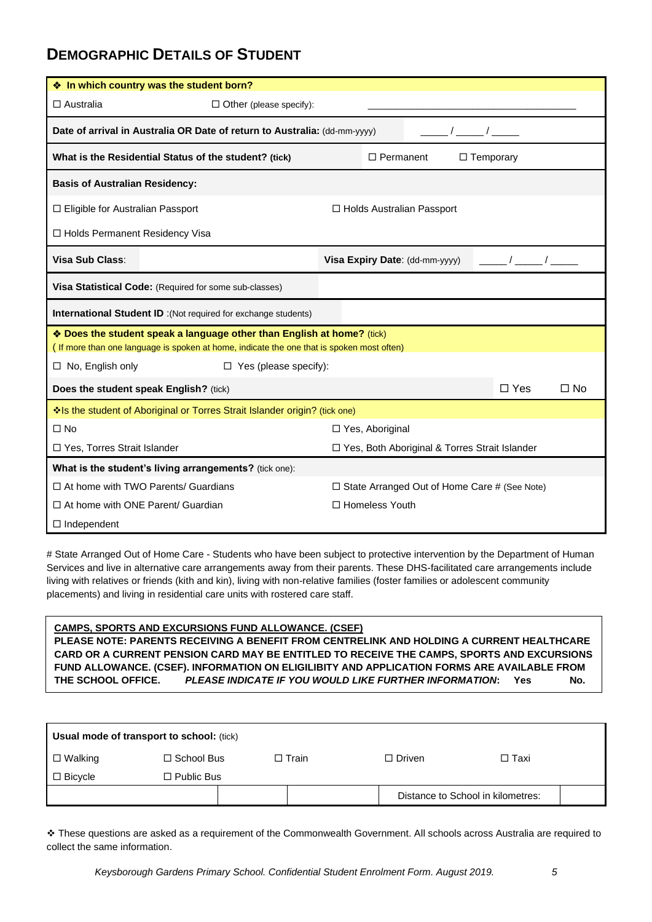## **DEMOGRAPHIC DETAILS OF STUDENT**

| ❖ In which country was the student born?                                                                                                                            |                                                     |  |  |  |  |  |  |
|---------------------------------------------------------------------------------------------------------------------------------------------------------------------|-----------------------------------------------------|--|--|--|--|--|--|
| $\Box$ Australia<br>$\Box$ Other (please specify):                                                                                                                  |                                                     |  |  |  |  |  |  |
| Date of arrival in Australia OR Date of return to Australia: (dd-mm-yyyy)                                                                                           |                                                     |  |  |  |  |  |  |
| What is the Residential Status of the student? (tick)                                                                                                               | $\Box$ Permanent<br>$\Box$ Temporary                |  |  |  |  |  |  |
| <b>Basis of Australian Residency:</b>                                                                                                                               |                                                     |  |  |  |  |  |  |
| $\Box$ Eligible for Australian Passport                                                                                                                             | $\Box$ Holds Australian Passport                    |  |  |  |  |  |  |
| □ Holds Permanent Residency Visa                                                                                                                                    |                                                     |  |  |  |  |  |  |
| Visa Sub Class:                                                                                                                                                     | $\sqrt{2}$<br>Visa Expiry Date: (dd-mm-yyyy)        |  |  |  |  |  |  |
| Visa Statistical Code: (Required for some sub-classes)                                                                                                              |                                                     |  |  |  |  |  |  |
| <b>International Student ID</b> : (Not required for exchange students)                                                                                              |                                                     |  |  |  |  |  |  |
| * Does the student speak a language other than English at home? (tick)<br>(If more than one language is spoken at home, indicate the one that is spoken most often) |                                                     |  |  |  |  |  |  |
| $\Box$ No, English only<br>$\Box$ Yes (please specify):                                                                                                             |                                                     |  |  |  |  |  |  |
| Does the student speak English? (tick)                                                                                                                              | $\Box$ Yes<br>$\Box$ No                             |  |  |  |  |  |  |
| Is the student of Aboriginal or Torres Strait Islander origin? (tick one)                                                                                           |                                                     |  |  |  |  |  |  |
| $\Box$ No                                                                                                                                                           | □ Yes, Aboriginal                                   |  |  |  |  |  |  |
| □ Yes, Torres Strait Islander                                                                                                                                       | □ Yes, Both Aboriginal & Torres Strait Islander     |  |  |  |  |  |  |
| What is the student's living arrangements? (tick one):                                                                                                              |                                                     |  |  |  |  |  |  |
| $\Box$ At home with TWO Parents/ Guardians                                                                                                                          | $\Box$ State Arranged Out of Home Care # (See Note) |  |  |  |  |  |  |
| $\Box$ At home with ONE Parent/ Guardian                                                                                                                            | □ Homeless Youth                                    |  |  |  |  |  |  |
| $\Box$ Independent                                                                                                                                                  |                                                     |  |  |  |  |  |  |

# State Arranged Out of Home Care - Students who have been subject to protective intervention by the Department of Human Services and live in alternative care arrangements away from their parents. These DHS-facilitated care arrangements include living with relatives or friends (kith and kin), living with non-relative families (foster families or adolescent community placements) and living in residential care units with rostered care staff.

**CAMPS, SPORTS AND EXCURSIONS FUND ALLOWANCE. (CSEF) PLEASE NOTE: PARENTS RECEIVING A BENEFIT FROM CENTRELINK AND HOLDING A CURRENT HEALTHCARE CARD OR A CURRENT PENSION CARD MAY BE ENTITLED TO RECEIVE THE CAMPS, SPORTS AND EXCURSIONS FUND ALLOWANCE. (CSEF). INFORMATION ON ELIGILIBITY AND APPLICATION FORMS ARE AVAILABLE FROM THE SCHOOL OFFICE.** *PLEASE INDICATE IF YOU WOULD LIKE FURTHER INFORMATION***: Yes No.**

| Usual mode of transport to school: (tick) |                   |  |           |                                   |        |  |  |  |
|-------------------------------------------|-------------------|--|-----------|-----------------------------------|--------|--|--|--|
| $\square$ Walking                         | $\Box$ School Bus |  | コ Train I | $\Box$ Driven                     | □ Taxi |  |  |  |
| $\Box$ Bicycle                            | $\Box$ Public Bus |  |           |                                   |        |  |  |  |
|                                           |                   |  |           | Distance to School in kilometres: |        |  |  |  |

❖ These questions are asked as a requirement of the Commonwealth Government. All schools across Australia are required to collect the same information.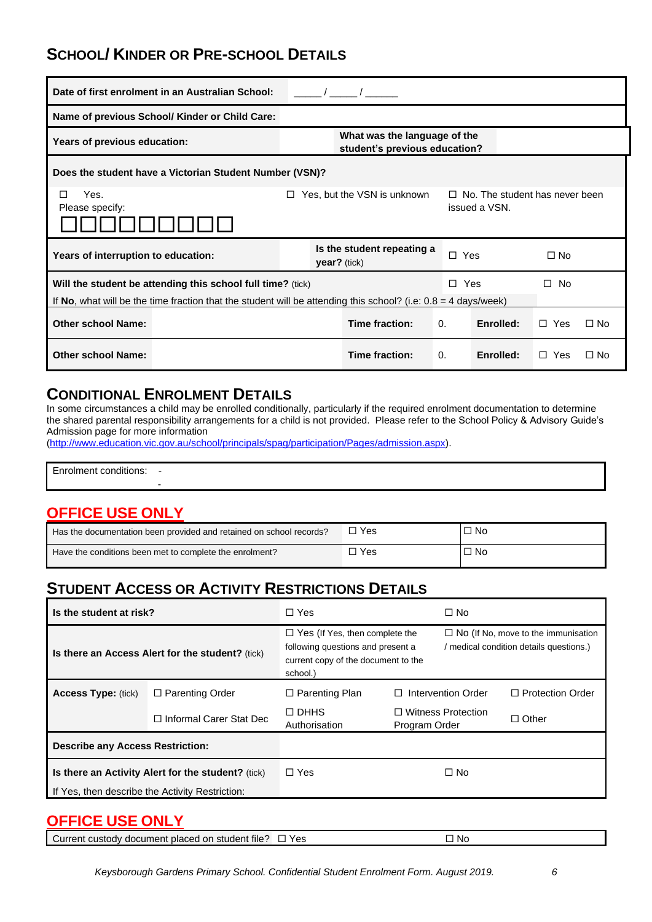# **SCHOOL/ KINDER OR PRE-SCHOOL DETAILS**

|                                                         | Date of first enrolment in an Australian School:                                                                                                                                |                                                               |  |                |            |           |              |           |
|---------------------------------------------------------|---------------------------------------------------------------------------------------------------------------------------------------------------------------------------------|---------------------------------------------------------------|--|----------------|------------|-----------|--------------|-----------|
|                                                         | Name of previous School/ Kinder or Child Care:                                                                                                                                  |                                                               |  |                |            |           |              |           |
| Years of previous education:                            |                                                                                                                                                                                 | What was the language of the<br>student's previous education? |  |                |            |           |              |           |
| Does the student have a Victorian Student Number (VSN)? |                                                                                                                                                                                 |                                                               |  |                |            |           |              |           |
| Yes.<br>П<br>Please specify:                            | Yes, but the VSN is unknown<br>$\Box$ No. The student has never been<br>П.<br>issued a VSN.                                                                                     |                                                               |  |                |            |           |              |           |
| Years of interruption to education:                     |                                                                                                                                                                                 | Is the student repeating a<br>$year?$ (tick)                  |  |                | $\Box$ Yes |           | $\Box$ No    |           |
|                                                         | Will the student be attending this school full time? (tick)<br>If No, what will be the time fraction that the student will be attending this school? (i.e: $0.8 = 4$ days/week) |                                                               |  |                | $\Box$ Yes |           | $\square$ No |           |
| <b>Other school Name:</b>                               |                                                                                                                                                                                 |                                                               |  | Time fraction: | $\Omega$ . | Enrolled: | $\Box$ Yes   | $\Box$ No |
| <b>Other school Name:</b>                               |                                                                                                                                                                                 |                                                               |  | Time fraction: | $\Omega$ . | Enrolled: | $\Box$ Yes   | $\Box$ No |

### **CONDITIONAL ENROLMENT DETAILS**

In some circumstances a child may be enrolled conditionally, particularly if the required enrolment documentation to determine the shared parental responsibility arrangements for a child is not provided. Please refer to the School Policy & Advisory Guide's Admission page for more information

[\(http://www.education.vic.gov.au/school/principals/spag/participation/Pages/admission.aspx\)](http://www.education.vic.gov.au/school/principals/spag/participation/Pages/admission.aspx).

| .<br><u>.</u><br>rolment conditions: |  |  |  |
|--------------------------------------|--|--|--|
|                                      |  |  |  |

## **OFFICE USE ONLY**

| Has the documentation been provided and retained on school records? | 'Yes  | □ No |
|---------------------------------------------------------------------|-------|------|
| Have the conditions been met to complete the enrolment?             | ™ Yes | □ No |

# **STUDENT ACCESS OR ACTIVITY RESTRICTIONS DETAILS**

| Is the student at risk?                                                                               |                                | $\Box$ Yes                                                                                                                    |               | $\Box$ No                                                                             |                         |
|-------------------------------------------------------------------------------------------------------|--------------------------------|-------------------------------------------------------------------------------------------------------------------------------|---------------|---------------------------------------------------------------------------------------|-------------------------|
| Is there an Access Alert for the student? (tick)                                                      |                                | $\Box$ Yes (If Yes, then complete the<br>following questions and present a<br>current copy of the document to the<br>school.) |               | $\Box$ No (If No, move to the immunisation<br>/ medical condition details questions.) |                         |
| <b>Access Type: (tick)</b>                                                                            | $\Box$ Parenting Order         | $\Box$ Parenting Plan                                                                                                         | П             | Intervention Order                                                                    | $\Box$ Protection Order |
|                                                                                                       | $\Box$ Informal Carer Stat Dec | $\square$ DHHS<br>Authorisation                                                                                               | Program Order | □ Witness Protection                                                                  | $\Box$ Other            |
| <b>Describe any Access Restriction:</b>                                                               |                                |                                                                                                                               |               |                                                                                       |                         |
| Is there an Activity Alert for the student? (tick)<br>If Yes, then describe the Activity Restriction: |                                | $\Box$ Yes                                                                                                                    |               | $\Box$ No                                                                             |                         |

### **OFFICE USE ONLY**

| Current custody document placed on student file? $\Box$ Yes |  | □ No |
|-------------------------------------------------------------|--|------|
|-------------------------------------------------------------|--|------|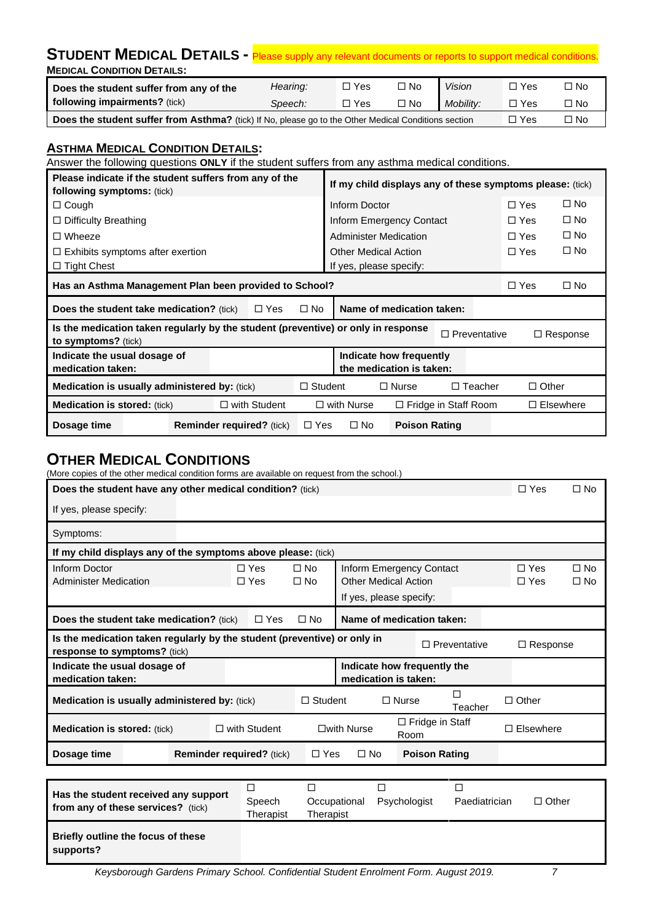| STUDENT MEDICAL DETAILS - Please supply any relevant documents or reports to support medical conditions.                               |          |            |           |               |            |              |  |  |  |
|----------------------------------------------------------------------------------------------------------------------------------------|----------|------------|-----------|---------------|------------|--------------|--|--|--|
| <b>MEDICAL CONDITION DETAILS:</b>                                                                                                      |          |            |           |               |            |              |  |  |  |
| Does the student suffer from any of the                                                                                                | Hearing: | $\Box$ Yes | $\Box$ No | <b>Vision</b> | $\Box$ Yes | $\Box$ No    |  |  |  |
| following impairments? (tick)                                                                                                          | Speech:  | $\Box$ Yes | $\Box$ No | Mobility:     | $\Box$ Yes | $\square$ No |  |  |  |
| <b>Does the student suffer from Asthma?</b> (tick) If No. please go to the Other Medical Conditions section<br>$\Box$ No<br>$\Box$ Yes |          |            |           |               |            |              |  |  |  |

#### **ASTHMA MEDICAL CONDITION DETAILS:**

Answer the following questions **ONLY** if the student suffers from any asthma medical conditions.

| Please indicate if the student suffers from any of the<br><b>following symptoms:</b> (tick)              |                                  |                | If my child displays any of these symptoms please: (tick) |                      |                             |              |                  |
|----------------------------------------------------------------------------------------------------------|----------------------------------|----------------|-----------------------------------------------------------|----------------------|-----------------------------|--------------|------------------|
| $\Box$ Cough                                                                                             |                                  |                | Inform Doctor                                             |                      |                             | $\Box$ Yes   | $\Box$ No        |
| $\Box$ Difficulty Breathing                                                                              |                                  |                | Inform Emergency Contact                                  |                      |                             | $\Box$ Yes   | $\square$ No     |
| $\Box$ Wheeze                                                                                            |                                  |                | <b>Administer Medication</b>                              |                      |                             | $\Box$ Yes   | $\square$ No     |
| $\Box$ Exhibits symptoms after exertion                                                                  |                                  |                | <b>Other Medical Action</b>                               |                      |                             | $\Box$ Yes   | $\square$ No     |
| $\Box$ Tight Chest                                                                                       |                                  |                | If yes, please specify:                                   |                      |                             |              |                  |
| Has an Asthma Management Plan been provided to School?                                                   |                                  |                |                                                           |                      |                             | $\Box$ Yes   | $\square$ No     |
| <b>Does the student take medication?</b> (tick)                                                          | $\Box$ Yes                       | $\square$ No   | Name of medication taken:                                 |                      |                             |              |                  |
| Is the medication taken regularly by the student (preventive) or only in response<br>to symptoms? (tick) |                                  |                |                                                           |                      | $\Box$ Preventative         |              | $\Box$ Response  |
| Indicate the usual dosage of<br>medication taken:                                                        |                                  |                | Indicate how frequently<br>the medication is taken:       |                      |                             |              |                  |
| <b>Medication is usually administered by: (tick)</b>                                                     |                                  | $\Box$ Student |                                                           | $\Box$ Nurse         | $\Box$ Teacher              | $\Box$ Other |                  |
| <b>Medication is stored:</b> (tick)                                                                      | $\Box$ with Student              |                | $\Box$ with Nurse                                         |                      | $\Box$ Fridge in Staff Room |              | $\Box$ Elsewhere |
| Dosage time                                                                                              | <b>Reminder required?</b> (tick) | $\Box$ Yes     | $\square$ No                                              | <b>Poison Rating</b> |                             |              |                  |

### **OTHER MEDICAL CONDITIONS**

(More copies of the other medical condition forms are available on request from the school.)

| Does the student have any other medical condition? (tick)                                                |                                                                                     |                              |                                                                                    |   | $\Box$ Yes               | $\Box$ No                 |
|----------------------------------------------------------------------------------------------------------|-------------------------------------------------------------------------------------|------------------------------|------------------------------------------------------------------------------------|---|--------------------------|---------------------------|
| If yes, please specify:                                                                                  |                                                                                     |                              |                                                                                    |   |                          |                           |
| Symptoms:                                                                                                |                                                                                     |                              |                                                                                    |   |                          |                           |
| If my child displays any of the symptoms above please: (tick)                                            |                                                                                     |                              |                                                                                    |   |                          |                           |
| Inform Doctor<br><b>Administer Medication</b>                                                            | $\Box$ Yes<br>$\Box$ Yes                                                            | $\square$ No<br>$\square$ No | Inform Emergency Contact<br><b>Other Medical Action</b><br>If yes, please specify: |   | $\Box$ Yes<br>$\Box$ Yes | $\Box$ No<br>$\square$ No |
| <b>Does the student take medication?</b> (tick)                                                          | $\Box$ Yes                                                                          | $\square$ No                 | Name of medication taken:                                                          |   |                          |                           |
| Is the medication taken regularly by the student (preventive) or only in<br>response to symptoms? (tick) |                                                                                     | □ Preventative               | $\Box$ Response                                                                    |   |                          |                           |
| Indicate the usual dosage of<br>medication taken:                                                        |                                                                                     |                              | Indicate how frequently the<br>medication is taken:                                |   |                          |                           |
| <b>Medication is usually administered by: (tick)</b>                                                     |                                                                                     | $\Box$ Student               | $\Box$ Nurse<br>Teacher                                                            |   | $\Box$ Other             |                           |
| <b>Medication is stored:</b> (tick)                                                                      | $\Box$ with Student                                                                 |                              | $\Box$ Fridge in Staff<br>$\square$ with Nurse<br>Room                             |   | Elsewhere<br>П           |                           |
| Dosage time                                                                                              | $\Box$ No<br><b>Poison Rating</b><br><b>Reminder required?</b> (tick)<br>$\Box$ Yes |                              |                                                                                    |   |                          |                           |
|                                                                                                          |                                                                                     |                              |                                                                                    |   |                          |                           |
|                                                                                                          | ப                                                                                   | □                            | $\Box$                                                                             | П |                          |                           |

| Has the student received any support<br>from any of these services? (tick) | Speech<br>Therapist | Occupational<br>Therapist | Psychologist | Paediatrician | $\Box$ Other |
|----------------------------------------------------------------------------|---------------------|---------------------------|--------------|---------------|--------------|
| Briefly outline the focus of these<br>supports?                            |                     |                           |              |               |              |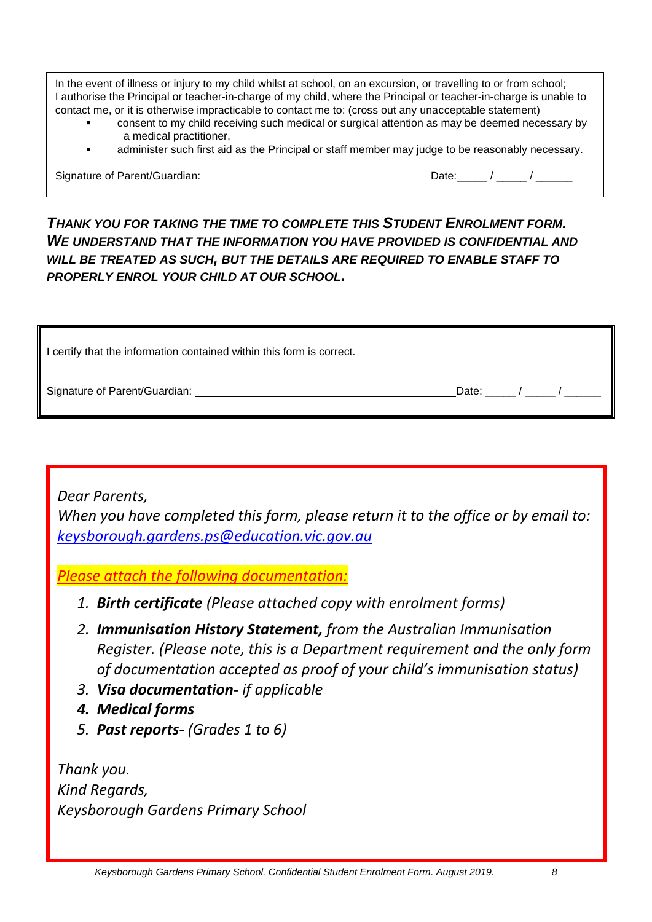In the event of illness or injury to my child whilst at school, on an excursion, or travelling to or from school; I authorise the Principal or teacher-in-charge of my child, where the Principal or teacher-in-charge is unable to contact me, or it is otherwise impracticable to contact me to: (cross out any unacceptable statement)

- consent to my child receiving such medical or surgical attention as may be deemed necessary by a medical practitioner,
- administer such first aid as the Principal or staff member may judge to be reasonably necessary.

Signature of Parent/Guardian: Date:\_\_\_\_\_ / \_\_\_\_\_ / \_\_\_\_\_\_

### *THANK YOU FOR TAKING THE TIME TO COMPLETE THIS STUDENT ENROLMENT FORM. WE UNDERSTAND THAT THE INFORMATION YOU HAVE PROVIDED IS CONFIDENTIAL AND WILL BE TREATED AS SUCH, BUT THE DETAILS ARE REQUIRED TO ENABLE STAFF TO PROPERLY ENROL YOUR CHILD AT OUR SCHOOL.*

| I certify that the information contained within this form is correct. |       |  |  |
|-----------------------------------------------------------------------|-------|--|--|
| Signature of Parent/Guardian:                                         | Date: |  |  |

*Dear Parents,*

*When you have completed this form, please return it to the office or by email to: [keysborough.gardens.ps@education.vic.gov.au](mailto:keysborough.gardens.ps@education.vic.gov.au)*

*Please attach the following documentation:*

- *1. Birth certificate (Please attached copy with enrolment forms)*
- *2. Immunisation History Statement, from the Australian Immunisation Register. (Please note, this is a Department requirement and the only form of documentation accepted as proof of your child's immunisation status)*
- *3. Visa documentation- if applicable*
- *4. Medical forms*
- *5. Past reports- (Grades 1 to 6)*

*Thank you. Kind Regards, Keysborough Gardens Primary School*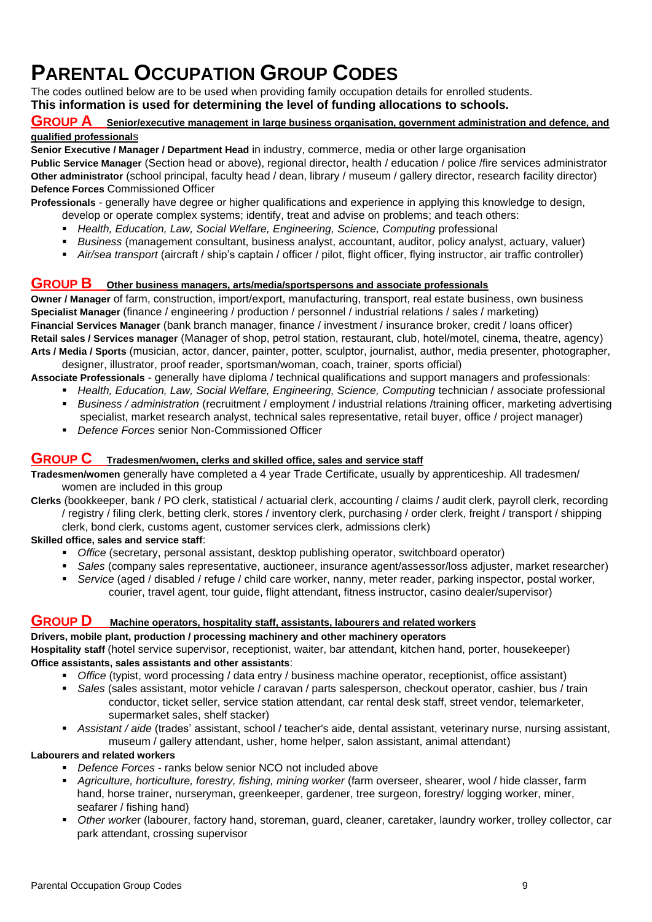# **PARENTAL OCCUPATION GROUP CODES**

The codes outlined below are to be used when providing family occupation details for enrolled students. **This information is used for determining the level of funding allocations to schools.** 

# **GROUP A Senior/executive management in large business organisation, government administration and defence, and**

#### **qualified professional**s

**Senior Executive / Manager / Department Head** in industry, commerce, media or other large organisation **Public Service Manager** (Section head or above), regional director, health / education / police /fire services administrator

**Other administrator** (school principal, faculty head / dean, library / museum / gallery director, research facility director) **Defence Forces** Commissioned Officer

**Professionals** - generally have degree or higher qualifications and experience in applying this knowledge to design, develop or operate complex systems; identify, treat and advise on problems; and teach others:

- *Health, Education, Law, Social Welfare, Engineering, Science, Computing* professional
- *Business* (management consultant, business analyst, accountant, auditor, policy analyst, actuary, valuer)
- *Air/sea transport* (aircraft / ship's captain / officer / pilot, flight officer, flying instructor, air traffic controller)

#### **GROUP B Other business managers, arts/media/sportspersons and associate professionals**

**Owner / Manager** of farm, construction, import/export, manufacturing, transport, real estate business, own business **Specialist Manager** (finance / engineering / production / personnel / industrial relations / sales / marketing) **Financial Services Manager** (bank branch manager, finance / investment / insurance broker, credit / loans officer) **Retail sales / Services manager** (Manager of shop, petrol station, restaurant, club, hotel/motel, cinema, theatre, agency) **Arts / Media / Sports** (musician, actor, dancer, painter, potter, sculptor, journalist, author, media presenter, photographer,

designer, illustrator, proof reader, sportsman/woman, coach, trainer, sports official) **Associate Professionals** - generally have diploma / technical qualifications and support managers and professionals:

- *Health, Education, Law, Social Welfare, Engineering, Science, Computing technician / associate professional*
- *Business / administration* (recruitment / employment / industrial relations /training officer, marketing advertising specialist, market research analyst, technical sales representative, retail buyer, office / project manager)
- *Defence Forces* senior Non-Commissioned Officer

#### **GROUP C Tradesmen/women, clerks and skilled office, sales and service staff**

**Tradesmen/women** generally have completed a 4 year Trade Certificate, usually by apprenticeship. All tradesmen/ women are included in this group

**Clerks** (bookkeeper, bank / PO clerk, statistical / actuarial clerk, accounting / claims / audit clerk, payroll clerk, recording / registry / filing clerk, betting clerk, stores / inventory clerk, purchasing / order clerk, freight / transport / shipping clerk, bond clerk, customs agent, customer services clerk, admissions clerk)

**Skilled office, sales and service staff**:

- *Office* (secretary, personal assistant, desktop publishing operator, switchboard operator)
- *Sales* (company sales representative, auctioneer, insurance agent/assessor/loss adjuster, market researcher)
- *Service* (aged / disabled / refuge / child care worker, nanny, meter reader, parking inspector, postal worker, courier, travel agent, tour guide, flight attendant, fitness instructor, casino dealer/supervisor)

#### **GROUP D Machine operators, hospitality staff, assistants, labourers and related workers**

**Drivers, mobile plant, production / processing machinery and other machinery operators Hospitality staff** (hotel service supervisor, receptionist, waiter, bar attendant, kitchen hand, porter, housekeeper) **Office assistants, sales assistants and other assistants**:

- *Office* (typist, word processing / data entry / business machine operator, receptionist, office assistant)
- *Sales* (sales assistant, motor vehicle / caravan / parts salesperson, checkout operator, cashier, bus / train conductor, ticket seller, service station attendant, car rental desk staff, street vendor, telemarketer, supermarket sales, shelf stacker)
- *Assistant / aide* (trades' assistant, school / teacher's aide, dental assistant, veterinary nurse, nursing assistant, museum / gallery attendant, usher, home helper, salon assistant, animal attendant)

#### **Labourers and related workers**

- *Defence Forces* ranks below senior NCO not included above
- *Agriculture, horticulture, forestry, fishing, mining worker* (farm overseer, shearer, wool / hide classer, farm hand, horse trainer, nurseryman, greenkeeper, gardener, tree surgeon, forestry/ logging worker, miner, seafarer / fishing hand)
- *Other worke*r (labourer, factory hand, storeman, guard, cleaner, caretaker, laundry worker, trolley collector, car park attendant, crossing supervisor